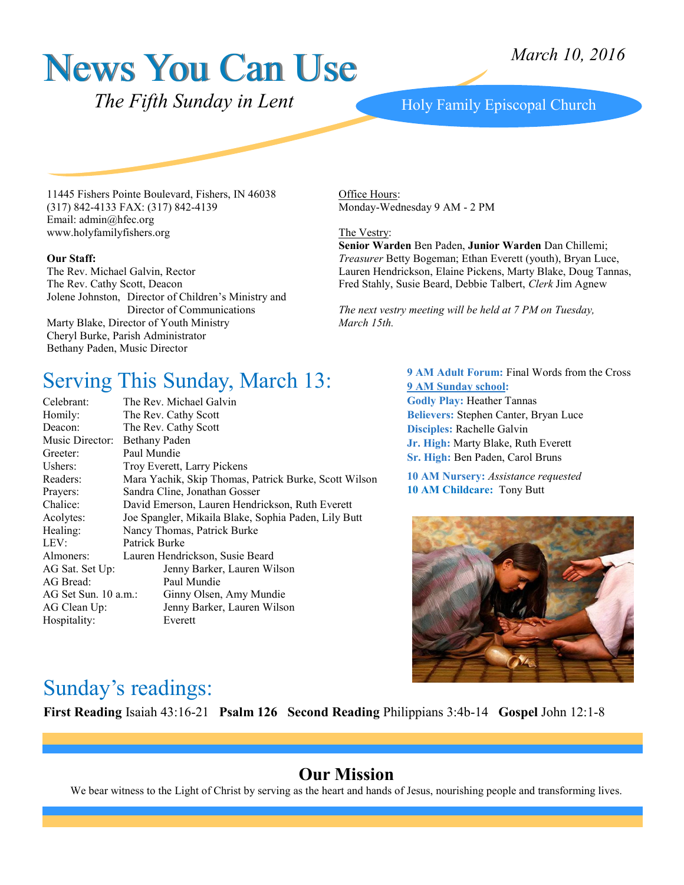# News You Can Use

*March 10, 2016*

 *The Fifth Sunday in Lent* 

#### Holy Family Episcopal Church

11445 Fishers Pointe Boulevard, Fishers, IN 46038 (317) 842-4133 FAX: (317) 842-4139 Email: admin@hfec.org www.holyfamilyfishers.org

#### **Our Staff:**

The Rev. Michael Galvin, Rector The Rev. Cathy Scott, Deacon Jolene Johnston, Director of Children's Ministry and Director of Communications Marty Blake, Director of Youth Ministry Cheryl Burke, Parish Administrator Bethany Paden, Music Director

Office Hours: Monday-Wednesday 9 AM - 2 PM

#### The Vestry:

**Senior Warden** Ben Paden, **Junior Warden** Dan Chillemi; *Treasurer* Betty Bogeman; Ethan Everett (youth), Bryan Luce, Lauren Hendrickson, Elaine Pickens, Marty Blake, Doug Tannas, Fred Stahly, Susie Beard, Debbie Talbert, *Clerk* Jim Agnew

*The next vestry meeting will be held at 7 PM on Tuesday, March 15th.*

### Serving This Sunday, March 13:

| Celebrant:           | The Rev. Michael Galvin                               |
|----------------------|-------------------------------------------------------|
| Homily:              | The Rev. Cathy Scott                                  |
| Deacon:              | The Rev. Cathy Scott                                  |
| Music Director:      | <b>Bethany Paden</b>                                  |
| Greeter:             | Paul Mundie                                           |
| Ushers:              | Troy Everett, Larry Pickens                           |
| Readers:             | Mara Yachik, Skip Thomas, Patrick Burke, Scott Wilson |
| Prayers:             | Sandra Cline, Jonathan Gosser                         |
| Chalice:             | David Emerson, Lauren Hendrickson, Ruth Everett       |
| Acolytes:            | Joe Spangler, Mikaila Blake, Sophia Paden, Lily Butt  |
| Healing:             | Nancy Thomas, Patrick Burke                           |
| LEV:                 | Patrick Burke                                         |
| Almoners:            | Lauren Hendrickson, Susie Beard                       |
| AG Sat. Set Up:      | Jenny Barker, Lauren Wilson                           |
| AG Bread:            | Paul Mundie                                           |
| AG Set Sun. 10 a.m.: | Ginny Olsen, Amy Mundie                               |
| AG Clean Up:         | Jenny Barker, Lauren Wilson                           |
| Hospitality:         | Everett                                               |
|                      |                                                       |

**9 AM Adult Forum:** Final Words from the Cross **9 AM Sunday school: Godly Play:** Heather Tannas **Believers:** Stephen Canter, Bryan Luce **Disciples:** Rachelle Galvin **Jr. High:** Marty Blake, Ruth Everett **Sr. High:** Ben Paden, Carol Bruns

**10 AM Nursery:** *Assistance requested* **10 AM Childcare:** Tony Butt



### Sunday's readings:

**First Reading** Isaiah 43:16-21 **Psalm 126 Second Reading** Philippians 3:4b-14 **Gospel** John 12:1-8

#### **Our Mission**

We bear witness to the Light of Christ by serving as the heart and hands of Jesus, nourishing people and transforming lives.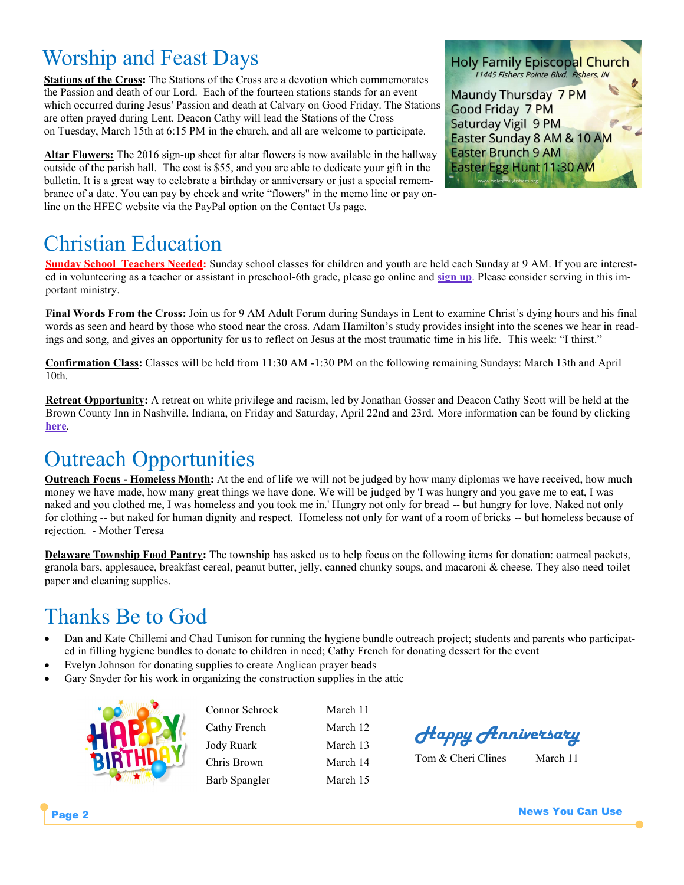# Worship and Feast Days

**Stations of the Cross:** The Stations of the Cross are a devotion which commemorates the Passion and death of our Lord. Each of the fourteen stations stands for an event which occurred during Jesus' Passion and death at Calvary on Good Friday. The Stations are often prayed during Lent. Deacon Cathy will lead the Stations of the Cross on Tuesday, March 15th at 6:15 PM in the church, and all are welcome to participate.

**Altar Flowers:** The 2016 sign-up sheet for altar flowers is now available in the hallway outside of the parish hall. The cost is \$55, and you are able to dedicate your gift in the bulletin. It is a great way to celebrate a birthday or anniversary or just a special remembrance of a date. You can pay by check and write "flowers" in the memo line or pay online on the HFEC website via the PayPal option on the Contact Us page.

### Christian Education

**Sunday School Teachers Needed:** Sunday school classes for children and youth are held each Sunday at 9 AM. If you are interested in volunteering as a teacher or assistant in preschool-6th grade, please go online and **[sign up](http://www.signupgenius.com/go/20f084aadaf23a3fd0-sunday1)**. Please consider serving in this important ministry.

**Final Words From the Cross:** Join us for 9 AM Adult Forum during Sundays in Lent to examine Christ's dying hours and his final words as seen and heard by those who stood near the cross. Adam Hamilton's study provides insight into the scenes we hear in readings and song, and gives an opportunity for us to reflect on Jesus at the most traumatic time in his life. This week: "I thirst."

**Confirmation Class:** Classes will be held from 11:30 AM -1:30 PM on the following remaining Sundays: March 13th and April 10th.

**Retreat Opportunity:** A retreat on white privilege and racism, led by Jonathan Gosser and Deacon Cathy Scott will be held at the Brown County Inn in Nashville, Indiana, on Friday and Saturday, April 22nd and 23rd. More information can be found by clicking **[here](http://www.holyfamilyfishers.org/hp_wordpress/wp-content/uploads/2016/02/Gosser-Retreat.pdf)**.

### Outreach Opportunities

**Outreach Focus - Homeless Month:** At the end of life we will not be judged by how many diplomas we have received, how much money we have made, how many great things we have done. We will be judged by 'I was hungry and you gave me to eat, I was naked and you clothed me, I was homeless and you took me in.' Hungry not only for bread -- but hungry for love. Naked not only for clothing -- but naked for human dignity and respect. Homeless not only for want of a room of bricks -- but homeless because of rejection. - Mother Teresa

**Delaware Township Food Pantry:** The township has asked us to help focus on the following items for donation: oatmeal packets, granola bars, applesauce, breakfast cereal, peanut butter, jelly, canned chunky soups, and macaroni & cheese. They also need toilet paper and cleaning supplies.

## Thanks Be to God

- Dan and Kate Chillemi and Chad Tunison for running the hygiene bundle outreach project; students and parents who participated in filling hygiene bundles to donate to children in need; Cathy French for donating dessert for the event
- Evelyn Johnson for donating supplies to create Anglican prayer beads
- Gary Snyder for his work in organizing the construction supplies in the attic



| March 11 |
|----------|
| March 12 |
| March 13 |
| March 14 |
| March 15 |
|          |

larch 12 Jarch 13 larch 14 Farch 15

*Happy Anniversary*

Tom & Cheri Clines March 11



Easter Egg Hunt 11:30 AM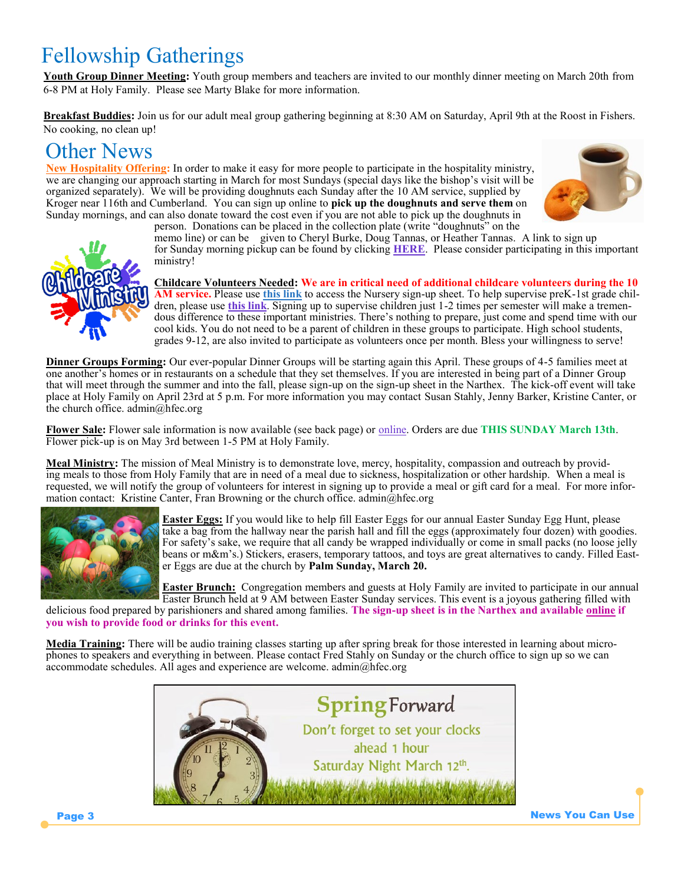# Fellowship Gatherings

**Youth Group Dinner Meeting:** Youth group members and teachers are invited to our monthly dinner meeting on March 20th from 6-8 PM at Holy Family. Please see Marty Blake for more information.

**Breakfast Buddies:** Join us for our adult meal group gathering beginning at 8:30 AM on Saturday, April 9th at the Roost in Fishers. No cooking, no clean up!

### Other News

**New Hospitality Offering:** In order to make it easy for more people to participate in the hospitality ministry, we are changing our approach starting in March for most Sundays (special days like the bishop's visit will be organized separately). We will be providing doughnuts each Sunday after the 10 AM service, supplied by Kroger near 116th and Cumberland. You can sign up online to **pick up the doughnuts and serve them** on Sunday mornings, and can also donate toward the cost even if you are not able to pick up the doughnuts in person. Donations can be placed in the collection plate (write "doughnuts" on the





memo line) or can be given to Cheryl Burke, Doug Tannas, or Heather Tannas. A link to sign up for Sunday morning pickup can be found by clicking **[HERE](http://www.signupgenius.com/go/20f0f4ca9a62ba1fb6-holy)**. Please consider participating in this important ministry!

**Childcare Volunteers Needed: We are in critical need of additional childcare volunteers during the 10 AM service.** Please use **[this link](http://www.signupgenius.com/go/20f084aadaf23a3fd0-10amnursery)** to access the Nursery sign-up sheet. To help supervise preK-1st grade children, please use **[this link](http://www.signupgenius.com/go/10c0d48a5ae2da6fe3-10amchildcare/25710810)**. Signing up to supervise children just 1-2 times per semester will make a tremendous difference to these important ministries. There's nothing to prepare, just come and spend time with our cool kids. You do not need to be a parent of children in these groups to participate. High school students, grades 9-12, are also invited to participate as volunteers once per month. Bless your willingness to serve!

**Dinner Groups Forming:** Our ever-popular Dinner Groups will be starting again this April. These groups of 4-5 families meet at one another's homes or in restaurants on a schedule that they set themselves. If you are interested in being part of a Dinner Group that will meet through the summer and into the fall, please sign-up on the sign-up sheet in the Narthex. The kick-off event will take place at Holy Family on April 23rd at 5 p.m. For more information you may contact Susan Stahly, Jenny Barker, Kristine Canter, or the church office. admin@hfec.org

**Flower Sale:** Flower sale information is now available (see back page) or [online.](http://www.holyfamilyfishers.org/hp_wordpress/wp-content/uploads/2016/02/2016-Flower-Sale.pdf) Orders are due **THIS SUNDAY March 13th**. Flower pick-up is on May 3rd between 1-5 PM at Holy Family.

**Meal Ministry:** The mission of Meal Ministry is to demonstrate love, mercy, hospitality, compassion and outreach by providing meals to those from Holy Family that are in need of a meal due to sickness, hospitalization or other hardship. When a meal is requested, we will notify the group of volunteers for interest in signing up to provide a meal or gift card for a meal. For more information contact: Kristine Canter, Fran Browning or the church office. admin@hfec.org



**Easter Eggs:** If you would like to help fill Easter Eggs for our annual Easter Sunday Egg Hunt, please take a bag from the hallway near the parish hall and fill the eggs (approximately four dozen) with goodies. For safety's sake, we require that all candy be wrapped individually or come in small packs (no loose jelly beans or m&m's.) Stickers, erasers, temporary tattoos, and toys are great alternatives to candy. Filled Easter Eggs are due at the church by **Palm Sunday, March 20.**

**Easter Brunch:** Congregation members and guests at Holy Family are invited to participate in our annual Easter Brunch held at 9 AM between Easter Sunday services. This event is a joyous gathering filled with

delicious food prepared by parishioners and shared among families. **The sign-up sheet is in the Narthex and available [online](http://www.signupgenius.com/go/20f084aadaf23a3fd0-easter) if you wish to provide food or drinks for this event.**

**Media Training:** There will be audio training classes starting up after spring break for those interested in learning about microphones to speakers and everything in between. Please contact Fred Stahly on Sunday or the church office to sign up so we can accommodate schedules. All ages and experience are welcome. admin@hfec.org